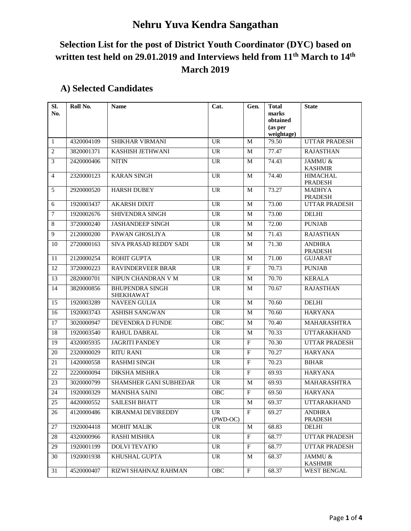## **Nehru Yuva Kendra Sangathan**

## **Selection List for the post of District Youth Coordinator (DYC) based on written test held on 29.01.2019 and Interviews held from 11th March to 14th March 2019**

| $\overline{sl.}$<br>No. | Roll No.   | <b>Name</b>                                | Cat.                            | Gen.         | <b>Total</b><br>marks<br>obtained<br>(as per<br>weightage) | <b>State</b>                      |
|-------------------------|------------|--------------------------------------------|---------------------------------|--------------|------------------------------------------------------------|-----------------------------------|
| $\mathbf{1}$            | 4320004109 | <b>SHIKHAR VIRMANI</b>                     | <b>UR</b>                       | М            | 79.50                                                      | <b>UTTAR PRADESH</b>              |
| $\overline{2}$          | 3820001371 | KASHISH JETHWANI                           | <b>UR</b>                       | М            | 77.47                                                      | <b>RAJASTHAN</b>                  |
| 3                       | 2420000406 | <b>NITIN</b>                               | <b>UR</b>                       | M            | 74.43                                                      | JAMMU &<br><b>KASHMIR</b>         |
| $\overline{4}$          | 2320000123 | <b>KARAN SINGH</b>                         | <b>UR</b>                       | М            | 74.40                                                      | <b>HIMACHAL</b><br><b>PRADESH</b> |
| 5                       | 2920000520 | <b>HARSH DUBEY</b>                         | <b>UR</b>                       | М            | 73.27                                                      | <b>MADHYA</b><br><b>PRADESH</b>   |
| 6                       | 1920003437 | <b>AKARSH DIXIT</b>                        | <b>UR</b>                       | M            | 73.00                                                      | <b>UTTAR PRADESH</b>              |
| 7                       | 1920002676 | <b>SHIVENDRA SINGH</b>                     | <b>UR</b>                       | М            | 73.00                                                      | <b>DELHI</b>                      |
| $\,8$                   | 3720000240 | <b>JASHANDEEP SINGH</b>                    | <b>UR</b>                       | М            | 72.00                                                      | <b>PUNJAB</b>                     |
| 9                       | 2120000200 | PAWAN GHOSLIYA                             | <b>UR</b>                       | М            | 71.43                                                      | <b>RAJASTHAN</b>                  |
| 10                      | 2720000163 | SIVA PRASAD REDDY SADI                     | <b>UR</b>                       | М            | 71.30                                                      | <b>ANDHRA</b><br><b>PRADESH</b>   |
| 11                      | 2120000254 | <b>ROHIT GUPTA</b>                         | <b>UR</b>                       | М            | 71.00                                                      | <b>GUJARAT</b>                    |
| 12                      | 3720000223 | RAVINDERVEER BRAR                          | <b>UR</b>                       | F            | 70.73                                                      | <b>PUNJAB</b>                     |
| 13                      | 2820000701 | NIPUN CHANDRAN V M                         | <b>UR</b>                       | М            | 70.70                                                      | <b>KERALA</b>                     |
| 14                      | 3820000856 | <b>BHUPENDRA SINGH</b><br><b>SHEKHAWAT</b> | <b>UR</b>                       | М            | 70.67                                                      | <b>RAJASTHAN</b>                  |
| 15                      | 1920003289 | <b>NAVEEN GULIA</b>                        | <b>UR</b>                       | М            | 70.60                                                      | <b>DELHI</b>                      |
| 16                      | 1920003743 | <b>ASHISH SANGWAN</b>                      | <b>UR</b>                       | М            | 70.60                                                      | <b>HARYANA</b>                    |
| 17                      | 3020000947 | DEVENDRA D FUNDE                           | <b>OBC</b>                      | М            | 70.40                                                      | MAHARASHTRA                       |
| 18                      | 1920003540 | RAHUL DABRAL                               | <b>UR</b>                       | М            | 70.33                                                      | <b>UTTARAKHAND</b>                |
| 19                      | 4320005935 | <b>JAGRITI PANDEY</b>                      | <b>UR</b>                       | $\mathbf{F}$ | 70.30                                                      | <b>UTTAR PRADESH</b>              |
| 20                      | 2320000029 | <b>RITU RANI</b>                           | <b>UR</b>                       | $\mathbf{F}$ | 70.27                                                      | <b>HARYANA</b>                    |
| 21                      | 1420000558 | <b>RASHMI SINGH</b>                        | <b>UR</b>                       | F            | 70.23                                                      | <b>BIHAR</b>                      |
| 22                      | 2220000094 | <b>DIKSHA MISHRA</b>                       | <b>UR</b>                       | $\mathbf{F}$ | 69.93                                                      | <b>HARYANA</b>                    |
| 23                      | 3020000799 | SHAMSHER GANI SUBHEDAR                     | <b>UR</b>                       | M            | 69.93                                                      | MAHARASHTRA                       |
| 24                      | 1920000329 | <b>MANISHA SAINI</b>                       | OBC                             | $\mathbf{F}$ | 69.50                                                      | <b>HARYANA</b>                    |
| 25                      | 4420000552 | SAILESH BHATT                              | $\ensuremath{\text{UR}}\xspace$ | $\mathbf M$  | 69.37                                                      | <b>UTTARAKHAND</b>                |
| 26                      | 4120000486 | KIRANMAI DEVIREDDY                         | UR<br>(PWD-OC)                  | $\mathbf{F}$ | 69.27                                                      | <b>ANDHRA</b><br><b>PRADESH</b>   |
| $27\,$                  | 1920004418 | <b>MOHIT MALIK</b>                         | <b>UR</b>                       | M            | 68.83                                                      | <b>DELHI</b>                      |
| 28                      | 4320000966 | RASHI MISHRA                               | <b>UR</b>                       | $\mathbf{F}$ | 68.77                                                      | <b>UTTAR PRADESH</b>              |
| 29                      | 1920001199 | <b>DOLVI TEVATIO</b>                       | <b>UR</b>                       | $\mathbf F$  | 68.77                                                      | UTTAR PRADESH                     |
| 30                      | 1920001938 | KHUSHAL GUPTA                              | UR                              | M            | 68.37                                                      | JAMMU &<br><b>KASHMIR</b>         |
| 31                      | 4520000407 | RIZWI SHAHNAZ RAHMAN                       | OBC                             | $\mathbf F$  | 68.37                                                      | WEST BENGAL                       |

## **A) Selected Candidates**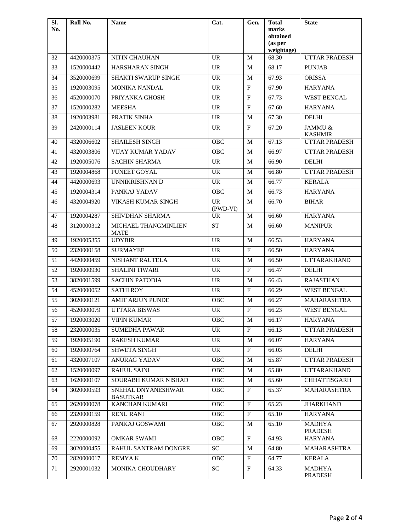| SI.<br>No. | Roll No.   | <b>Name</b>                           | Cat.                  | Gen.           | <b>Total</b><br>marks | <b>State</b>                    |
|------------|------------|---------------------------------------|-----------------------|----------------|-----------------------|---------------------------------|
|            |            |                                       |                       |                | obtained              |                                 |
|            |            |                                       |                       |                | (as per<br>weightage) |                                 |
| 32         | 4420000375 | NITIN CHAUHAN                         | <b>UR</b>             | M              | 68.30                 | UTTAR PRADESH                   |
| 33         | 1520000442 | HARSHARAN SINGH                       | <b>UR</b>             | M              | 68.17                 | <b>PUNJAB</b>                   |
| 34         | 3520000699 | SHAKTI SWARUP SINGH                   | <b>UR</b>             | M              | 67.93                 | <b>ORISSA</b>                   |
| 35         | 1920003095 | MONIKA NANDAL                         | <b>UR</b>             | $\mathbf F$    | 67.90                 | <b>HARYANA</b>                  |
| 36         | 4520000070 | PRIYANKA GHOSH                        | <b>UR</b>             | $\overline{F}$ | 67.73                 | <b>WEST BENGAL</b>              |
| 37         | 1520000282 | <b>MEESHA</b>                         | <b>UR</b>             | $\rm F$        | 67.60                 | <b>HARYANA</b>                  |
| 38         | 1920003981 | PRATIK SINHA                          | <b>UR</b>             | M              | 67.30                 | <b>DELHI</b>                    |
| 39         | 2420000114 | <b>JASLEEN KOUR</b>                   | <b>UR</b>             | $\mathbf F$    | 67.20                 | JAMMU &<br><b>KASHMIR</b>       |
| 40         | 4320006602 | SHAILESH SINGH                        | OBC                   | M              | 67.13                 | <b>UTTAR PRADESH</b>            |
| 41         | 4320003806 | <b>VIJAY KUMAR YADAV</b>              | OBC                   | M              | 66.97                 | UTTAR PRADESH                   |
| 42         | 1920005076 | <b>SACHIN SHARMA</b>                  | <b>UR</b>             | M              | 66.90                 | <b>DELHI</b>                    |
| 43         | 1920004868 | PUNEET GOYAL                          | <b>UR</b>             | M              | 66.80                 | UTTAR PRADESH                   |
| 44         | 4420000693 | <b>UNNIKRISHNAN D</b>                 | <b>UR</b>             | M              | 66.77                 | <b>KERALA</b>                   |
| 45         | 1920004314 | PANKAJ YADAV                          | OBC                   | M              | 66.73                 | <b>HARYANA</b>                  |
| 46         | 4320004920 | VIKASH KUMAR SINGH                    | <b>UR</b><br>(PWD-VI) | $\mathbf M$    | 66.70                 | <b>BIHAR</b>                    |
| 47         | 1920004287 | SHIVDHAN SHARMA                       | <b>UR</b>             | M              | 66.60                 | <b>HARYANA</b>                  |
| 48         | 3120000312 | MICHAEL THANGMINLIEN<br><b>MATE</b>   | <b>ST</b>             | M              | 66.60                 | <b>MANIPUR</b>                  |
| 49         | 1920005355 | <b>UDYBIR</b>                         | <b>UR</b>             | M              | 66.53                 | <b>HARYANA</b>                  |
| 50         | 2320000158 | <b>SURMAYEE</b>                       | $\overline{UR}$       | $\mathbf F$    | 66.50                 | <b>HARYANA</b>                  |
| 51         | 4420000459 | NISHANT RAUTELA                       | <b>UR</b>             | M              | 66.50                 | <b>UTTARAKHAND</b>              |
| 52         | 1920000930 | SHALINI TIWARI                        | <b>UR</b>             | $\mathbf F$    | 66.47                 | <b>DELHI</b>                    |
| 53         | 3820001599 | <b>SACHIN PATODIA</b>                 | <b>UR</b>             | M              | 66.43                 | <b>RAJASTHAN</b>                |
| 54         | 4520000052 | <b>SATHIROY</b>                       | <b>UR</b>             | F              | 66.29                 | <b>WEST BENGAL</b>              |
| 55         | 3020000121 | <b>AMIT ARJUN PUNDE</b>               | <b>OBC</b>            | M              | 66.27                 | MAHARASHTRA                     |
| 56         | 4520000079 | <b>UTTARA BISWAS</b>                  | <b>UR</b>             | $\mathbf F$    | 66.23                 | <b>WEST BENGAL</b>              |
| 57         | 1920003020 | <b>VIPIN KUMAR</b>                    | OBC                   | $\overline{M}$ | 66.17                 | <b>HARYANA</b>                  |
| 58         | 2320000035 | <b>SUMEDHA PAWAR</b>                  | <b>UR</b>             | $\mathbf{F}$   | 66.13                 | <b>UTTAR PRADESH</b>            |
| 59         | 1920005190 | <b>RAKESH KUMAR</b>                   | <b>UR</b>             | M              | 66.07                 | <b>HARYANA</b>                  |
| 60         | 1920000764 | SHWETA SINGH                          | <b>UR</b>             | $\mathbf{F}$   | 66.03                 | <b>DELHI</b>                    |
| 61         | 4320007107 | ANURAG YADAV                          | OBC                   | M              | 65.87                 | UTTAR PRADESH                   |
| 62         | 1520000097 | <b>RAHUL SAINI</b>                    | OBC                   | M              | 65.80                 | <b>UTTARAKHAND</b>              |
| 63         | 1620000107 | SOURABH KUMAR NISHAD                  | OBC                   | M              | 65.60                 | <b>CHHATTISGARH</b>             |
| 64         | 3020000593 | SNEHAL DNYANESHWAR<br><b>BASUTKAR</b> | OBC                   | $\mathbf{F}$   | 65.37                 | MAHARASHTRA                     |
| 65         | 2620000078 | KANCHAN KUMARI                        | OBC                   | $\mathbf F$    | 65.23                 | <b>JHARKHAND</b>                |
| 66         | 2320000159 | <b>RENU RANI</b>                      | OBC                   | $\mathbf{F}$   | 65.10                 | <b>HARYANA</b>                  |
| 67         | 2920000828 | PANKAJ GOSWAMI                        | OBC                   | M              | 65.10                 | <b>MADHYA</b><br><b>PRADESH</b> |
| 68         | 2220000092 | <b>OMKAR SWAMI</b>                    | OBC                   | $\mathbf F$    | 64.93                 | <b>HARYANA</b>                  |
| 69         | 3020000455 | RAHUL SANTRAM DONGRE                  | <b>SC</b>             | M              | 64.80                 | MAHARASHTRA                     |
| 70         | 2820000017 | <b>REMYAK</b>                         | OBC                   | $\mathbf{F}$   | 64.77                 | <b>KERALA</b>                   |
| 71         | 2920001032 | MONIKA CHOUDHARY                      | <b>SC</b>             | $\mathbf{F}$   | 64.33                 | <b>MADHYA</b><br><b>PRADESH</b> |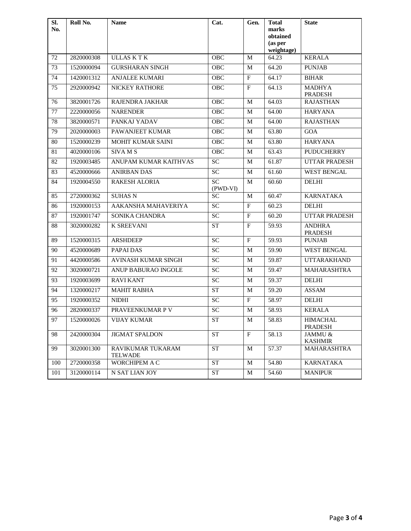| $\overline{\text{SL}}$<br>No. | Roll No.   | <b>Name</b>                         | Cat.            | Gen.                    | <b>Total</b><br>marks<br>obtained | <b>State</b>                    |
|-------------------------------|------------|-------------------------------------|-----------------|-------------------------|-----------------------------------|---------------------------------|
|                               |            |                                     |                 |                         | (as per<br>weightage)             |                                 |
| 72                            | 2820000308 | <b>ULLASKTK</b>                     | <b>OBC</b>      | M                       | 64.23                             | <b>KERALA</b>                   |
| 73                            | 1520000094 | <b>GURSHARAN SINGH</b>              | <b>OBC</b>      | М                       | 64.20                             | <b>PUNJAB</b>                   |
| 74                            | 1420001312 | ANJALEE KUMARI                      | OBC             | F                       | 64.17                             | <b>BIHAR</b>                    |
| 75                            | 2920000942 | NICKEY RATHORE                      | OBC             | $\mathbf F$             | 64.13                             | <b>MADHYA</b><br><b>PRADESH</b> |
| 76                            | 3820001726 | <b>RAJENDRA JAKHAR</b>              | <b>OBC</b>      | М                       | 64.03                             | <b>RAJASTHAN</b>                |
| 77                            | 2220000056 | <b>NARENDER</b>                     | OBC             | М                       | 64.00                             | <b>HARYANA</b>                  |
| 78                            | 3820000571 | PANKAJ YADAV                        | OBC             | M                       | 64.00                             | <b>RAJASTHAN</b>                |
| 79                            | 2020000003 | PAWANJEET KUMAR                     | OBC             | M                       | 63.80                             | GOA                             |
| 80                            | 1520000239 | MOHIT KUMAR SAINI                   | OBC             | M                       | 63.80                             | <b>HARYANA</b>                  |
| 81                            | 4020000106 | SIVAM <sub>S</sub>                  | OBC             | M                       | 63.43                             | <b>PUDUCHERRY</b>               |
| 82                            | 1920003485 | ANUPAM KUMAR KAITHVAS               | $\overline{SC}$ | M                       | 61.87                             | <b>UTTAR PRADESH</b>            |
| 83                            | 4520000666 | <b>ANIRBAN DAS</b>                  | $\overline{SC}$ | M                       | 61.60                             | <b>WEST BENGAL</b>              |
| 84                            | 1920004550 | <b>RAKESH ALORIA</b>                | SC<br>(PWD-VI)  | $\mathbf M$             | 60.60                             | <b>DELHI</b>                    |
| 85                            | 2720000362 | <b>SUHAS N</b>                      | <b>SC</b>       | M                       | 60.47                             | <b>KARNATAKA</b>                |
| 86                            | 1920000153 | AAKANSHA MAHAVERIYA                 | $\overline{SC}$ | $\mathbf{F}$            | 60.23                             | <b>DELHI</b>                    |
| 87                            | 1920001747 | SONIKA CHANDRA                      | <b>SC</b>       | $\mathbf F$             | 60.20                             | <b>UTTAR PRADESH</b>            |
| 88                            | 3020000282 | <b>K SREEVANI</b>                   | <b>ST</b>       | F                       | 59.93                             | <b>ANDHRA</b><br><b>PRADESH</b> |
| 89                            | 1520000315 | <b>ARSHDEEP</b>                     | <b>SC</b>       | $\mathbf F$             | 59.93                             | <b>PUNJAB</b>                   |
| 90                            | 4520000689 | PAPAI DAS                           | $\overline{SC}$ | M                       | 59.90                             | <b>WEST BENGAL</b>              |
| 91                            | 4420000586 | <b>AVINASH KUMAR SINGH</b>          | <b>SC</b>       | M                       | 59.87                             | <b>UTTARAKHAND</b>              |
| 92                            | 3020000721 | ANUP BABURAO INGOLE                 | $\overline{SC}$ | M                       | 59.47                             | MAHARASHTRA                     |
| 93                            | 1920003699 | <b>RAVI KANT</b>                    | SC              | M                       | 59.37                             | <b>DELHI</b>                    |
| 94                            | 1320000217 | <b>MAHIT RABHA</b>                  | <b>ST</b>       | M                       | 59.20                             | <b>ASSAM</b>                    |
| 95                            | 1920000352 | <b>NIDHI</b>                        | <b>SC</b>       | $\mathbf F$             | 58.97                             | <b>DELHI</b>                    |
| 96                            | 2820000337 | PRAVEENKUMAR P V                    | $\overline{SC}$ | М                       | 58.93                             | <b>KERALA</b>                   |
| 97                            | 1520000026 | VIJAY KUMAR                         | SТ              | M                       | 58.83                             | HIMACHAL<br><b>PRADESH</b>      |
| 98                            | 2420000304 | JIGMAT SPALDON                      | <b>ST</b>       | $\overline{\mathrm{F}}$ | 58.13                             | JAMMU &<br><b>KASHMIR</b>       |
| 99                            | 3020001300 | RAVIKUMAR TUKARAM<br><b>TELWADE</b> | <b>ST</b>       | M                       | 57.37                             | MAHARASHTRA                     |
| 100                           | 2720000358 | WORCHIPEM A C                       | <b>ST</b>       | M                       | 54.80                             | <b>KARNATAKA</b>                |
| 101                           | 3120000114 | N SAT LIAN JOY                      | <b>ST</b>       | M                       | 54.60                             | <b>MANIPUR</b>                  |